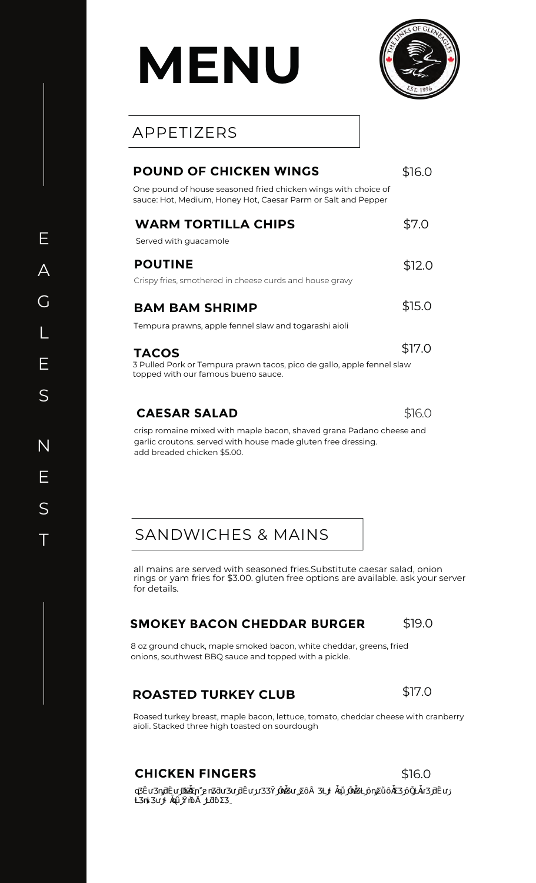# **MENU**



# APPETIZERS

## **POUND OF CHICKEN WINGS** \$16.0

One pound of house seasoned fried chicken wings with choice of sauce: Hot, Medium, Honey Hot, Caesar Parm or Salt and Pepper

| E | <b>WARM TORTILLA CHIPS</b><br>Served with guacamole                                                                                                                  | \$7.0                                                                            |  |
|---|----------------------------------------------------------------------------------------------------------------------------------------------------------------------|----------------------------------------------------------------------------------|--|
|   | <b>POUTINE</b><br>Crispy fries, smothered in cheese curds and house gravy                                                                                            | \$12.0                                                                           |  |
|   | <b>BAM BAM SHRIMP</b>                                                                                                                                                | \$15.0                                                                           |  |
|   | Tempura prawns, apple fennel slaw and togarashi aioli                                                                                                                |                                                                                  |  |
| E | <b>TACOS</b><br>topped with our famous bueno sauce.                                                                                                                  | \$17.0<br>3 Pulled Pork or Tempura prawn tacos, pico de gallo, apple fennel slaw |  |
| S |                                                                                                                                                                      |                                                                                  |  |
|   | <b>CAESAR SALAD</b>                                                                                                                                                  | \$16.0                                                                           |  |
| N | crisp romaine mixed with maple bacon, shaved grana Padano cheese and<br>garlic croutons. served with house made gluten free dressing.<br>add breaded chicken \$5.00. |                                                                                  |  |
| Е |                                                                                                                                                                      |                                                                                  |  |
| S |                                                                                                                                                                      |                                                                                  |  |
|   | <b>SANDWICHES &amp; MAINS</b>                                                                                                                                        |                                                                                  |  |

### **CAESAR SALAD** \$16.0

all mains are served with seasoned fries.Substitute caesar salad, onion rings or yam fries for \$3.00. gluten free options are available. ask your server for details.

#### **SMOKEY BACON CHEDDAR BURGER** \$19.0

8 oz ground chuck, maple smoked bacon, white cheddar, greens, fried onions, southwest BBQ sauce and topped with a pickle.

# **ROASTED TURKEY CLUB** \$17.0

Roased turkey breast, maple bacon, lettuce, tomato, cheddar cheese with cranberry aioli. Stacked three high toasted on sourdough

## **CHICKEN FINGERS** \$16.0